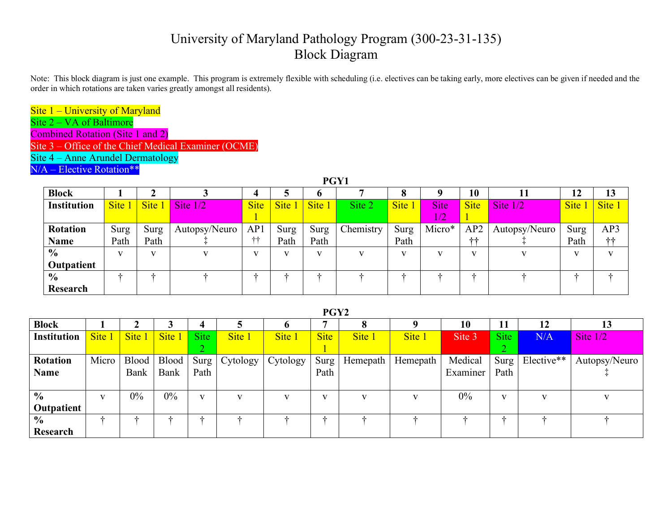## University of Maryland Pathology Program (300-23-31-135) Block Diagram

Note: This block diagram is just one example. This program is extremely flexible with scheduling (i.e. electives can be taking early, more electives can be given if needed and the order in which rotations are taken varies greatly amongst all residents).

Site 1 – University of Maryland

Site 2 – VA of Baltimore

Combined Rotation (Site 1 and 2)

Site 3 – Office of the Chief Medical Examiner (OCME)

Site 4 – Anne Arundel Dermatology

N/A – Elective Rotation\*\*

| PGY1               |              |             |               |              |        |        |           |        |              |              |               |        |              |
|--------------------|--------------|-------------|---------------|--------------|--------|--------|-----------|--------|--------------|--------------|---------------|--------|--------------|
| <b>Block</b>       |              |             |               |              |        | o      |           | o<br>О |              | 10           |               | 12     | 13           |
| <b>Institution</b> | Site 1       | <b>Site</b> | Site $1/2$    | <b>Site</b>  | Site 1 | Site 1 | Site 2    | Site 1 | <b>Site</b>  | <b>Site</b>  | Site $1/2$    | Site 1 | Site 1       |
|                    |              |             |               |              |        |        |           |        | 1/2          |              |               |        |              |
| <b>Rotation</b>    | Surg         | <b>Surg</b> | Autopsy/Neuro | AP1          | Surg   | Surg   | Chemistry | Surg   | Micro*       | AP2          | Autopsy/Neuro | Surg   | AP3          |
| <b>Name</b>        | Path         | Path        |               | $+ +$        | Path   | Path   |           | Path   |              | $++$         |               | Path   | $++$         |
| $\frac{0}{0}$      | $\mathbf{V}$ | V           | $\mathbf{V}$  | $\mathbf{V}$ |        | v      |           | v      | $\mathbf{V}$ | $\mathbf{V}$ | v             | v      | $\mathbf{V}$ |
| Outpatient         |              |             |               |              |        |        |           |        |              |              |               |        |              |
| $\frac{6}{6}$      |              | ala         |               |              |        |        |           |        |              | 4            |               |        |              |
| Research           |              |             |               |              |        |        |           |        |              |              |               |        |              |

**PGY2**

| <b>Block</b>    |             |        |        |              |                 |              |             |          |          | 10       | 11           | 12                        | 13            |
|-----------------|-------------|--------|--------|--------------|-----------------|--------------|-------------|----------|----------|----------|--------------|---------------------------|---------------|
| Institution     | <b>Site</b> | Site 1 | Site 1 | Site         | Site 1          | Site 1       | <b>Site</b> | Site 1   | Site 1   | Site 3   | <b>Site</b>  | N/A                       | Site $1/2$    |
|                 |             |        |        |              |                 |              |             |          |          |          |              |                           |               |
| <b>Rotation</b> | Micro       | Blood  | Blood  |              | $Surg$ Cytology | Cytology     | Surg        | Hemepath | Hemepath | Medical  |              | Surg   Elective** $\vert$ | Autopsy/Neuro |
| Name            |             | Bank   | Bank   | Path         |                 |              | Path        |          |          | Examiner | Path         |                           |               |
|                 |             |        |        |              |                 |              |             |          |          |          |              |                           |               |
| $\frac{0}{0}$   |             | $0\%$  | $0\%$  | $\mathbf{V}$ |                 | $\mathbf{V}$ | <b>T</b>    |          |          | $0\%$    | $\mathbf{V}$ |                           | $\mathbf{V}$  |
| Outpatient      |             |        |        |              |                 |              |             |          |          |          |              |                           |               |
| $\frac{0}{0}$   |             |        |        |              |                 |              | ala.        |          |          |          |              |                           |               |
| Research        |             |        |        |              |                 |              |             |          |          |          |              |                           |               |